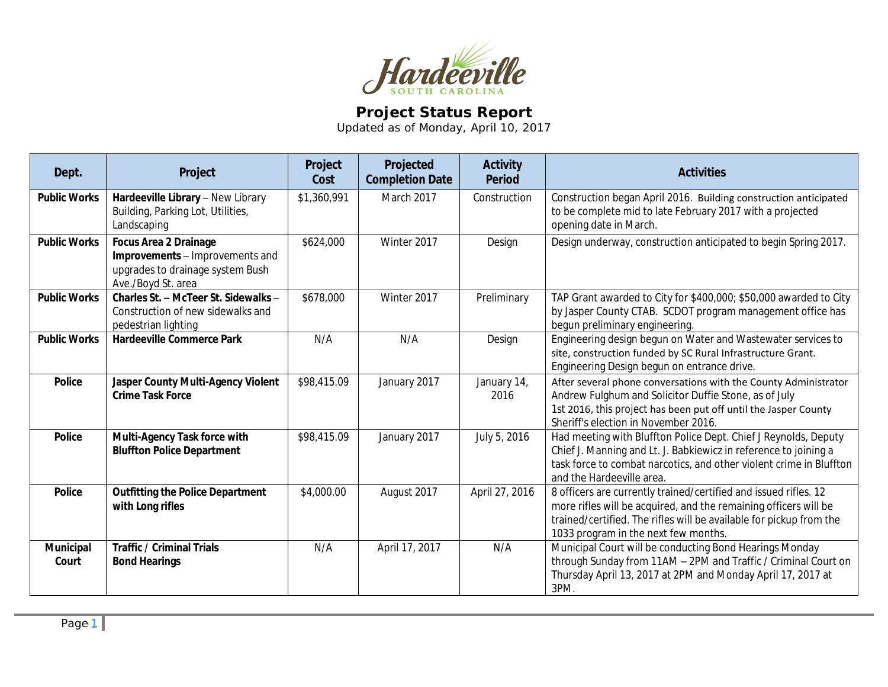

## **Project Status Report**

Updated as of Monday, April 10, 2017

| Dept.               | Project                                                                                                                   | Project<br>Cost | Projected<br><b>Completion Date</b> | <b>Activity</b><br><b>Period</b> | <b>Activities</b>                                                                                                                                                                                                                                   |
|---------------------|---------------------------------------------------------------------------------------------------------------------------|-----------------|-------------------------------------|----------------------------------|-----------------------------------------------------------------------------------------------------------------------------------------------------------------------------------------------------------------------------------------------------|
| <b>Public Works</b> | Hardeeville Library - New Library<br>Building, Parking Lot, Utilities,<br>Landscaping                                     | \$1,360,991     | <b>March 2017</b>                   | Construction                     | Construction began April 2016. Building construction anticipated<br>to be complete mid to late February 2017 with a projected<br>opening date in March.                                                                                             |
| <b>Public Works</b> | <b>Focus Area 2 Drainage</b><br>Improvements - Improvements and<br>upgrades to drainage system Bush<br>Ave./Boyd St. area | \$624,000       | Winter 2017                         | Design                           | Design underway, construction anticipated to begin Spring 2017.                                                                                                                                                                                     |
| <b>Public Works</b> | Charles St. - McTeer St. Sidewalks -<br>Construction of new sidewalks and<br>pedestrian lighting                          | \$678,000       | Winter 2017                         | Preliminary                      | TAP Grant awarded to City for \$400,000; \$50,000 awarded to City<br>by Jasper County CTAB. SCDOT program management office has<br>begun preliminary engineering.                                                                                   |
| <b>Public Works</b> | <b>Hardeeville Commerce Park</b>                                                                                          | N/A             | N/A                                 | Design                           | Engineering design begun on Water and Wastewater services to<br>site, construction funded by SC Rural Infrastructure Grant.<br>Engineering Design begun on entrance drive.                                                                          |
| <b>Police</b>       | Jasper County Multi-Agency Violent<br><b>Crime Task Force</b>                                                             | \$98,415.09     | January 2017                        | January 14,<br>2016              | After several phone conversations with the County Administrator<br>Andrew Fulghum and Solicitor Duffie Stone, as of July<br>1st 2016, this project has been put off until the Jasper County<br>Sheriff's election in November 2016.                 |
| <b>Police</b>       | Multi-Agency Task force with<br><b>Bluffton Police Department</b>                                                         | \$98,415.09     | January 2017                        | July 5, 2016                     | Had meeting with Bluffton Police Dept. Chief J Reynolds, Deputy<br>Chief J. Manning and Lt. J. Babkiewicz in reference to joining a<br>task force to combat narcotics, and other violent crime in Bluffton<br>and the Hardeeville area.             |
| <b>Police</b>       | <b>Outfitting the Police Department</b><br>with Long rifles                                                               | \$4,000.00      | August 2017                         | April 27, 2016                   | 8 officers are currently trained/certified and issued rifles. 12<br>more rifles will be acquired, and the remaining officers will be<br>trained/certified. The rifles will be available for pickup from the<br>1033 program in the next few months. |
| Municipal<br>Court  | <b>Traffic / Criminal Trials</b><br><b>Bond Hearings</b>                                                                  | N/A             | April 17, 2017                      | N/A                              | Municipal Court will be conducting Bond Hearings Monday<br>through Sunday from 11AM - 2PM and Traffic / Criminal Court on<br>Thursday April 13, 2017 at 2PM and Monday April 17, 2017 at<br>3PM.                                                    |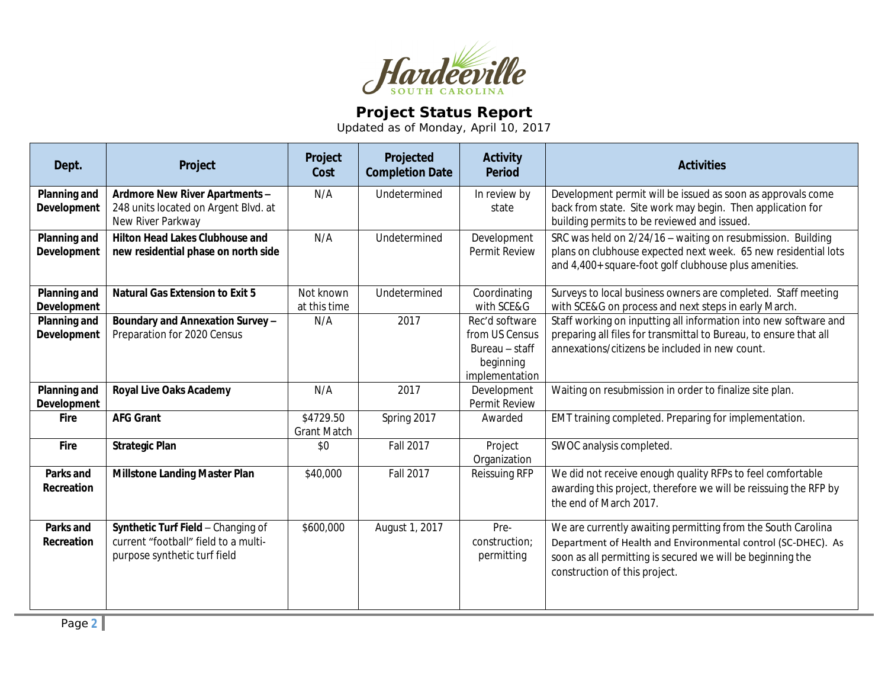

## **Project Status Report**

Updated as of Monday, April 10, 2017

| Dept.                                     | Project                                                                                                    | Project<br>Cost                 | Projected<br><b>Completion Date</b> | <b>Activity</b><br><b>Period</b>                                                  | <b>Activities</b>                                                                                                                                                                                                           |
|-------------------------------------------|------------------------------------------------------------------------------------------------------------|---------------------------------|-------------------------------------|-----------------------------------------------------------------------------------|-----------------------------------------------------------------------------------------------------------------------------------------------------------------------------------------------------------------------------|
| Planning and<br>Development               | Ardmore New River Apartments -<br>248 units located on Argent Blvd. at<br>New River Parkway                | N/A                             | Undetermined                        | In review by<br>state                                                             | Development permit will be issued as soon as approvals come<br>back from state. Site work may begin. Then application for<br>building permits to be reviewed and issued.                                                    |
| Planning and<br>Development               | <b>Hilton Head Lakes Clubhouse and</b><br>new residential phase on north side                              | N/A                             | Undetermined                        | Development<br>Permit Review                                                      | SRC was held on 2/24/16 - waiting on resubmission. Building<br>plans on clubhouse expected next week. 65 new residential lots<br>and 4,400+ square-foot golf clubhouse plus amenities.                                      |
| <b>Planning and</b><br><b>Development</b> | <b>Natural Gas Extension to Exit 5</b>                                                                     | Not known<br>at this time       | Undetermined                        | Coordinating<br>with SCE&G                                                        | Surveys to local business owners are completed. Staff meeting<br>with SCE&G on process and next steps in early March.                                                                                                       |
| <b>Planning and</b><br>Development        | Boundary and Annexation Survey -<br>Preparation for 2020 Census                                            | N/A                             | 2017                                | Rec'd software<br>from US Census<br>Bureau - staff<br>beginning<br>implementation | Staff working on inputting all information into new software and<br>preparing all files for transmittal to Bureau, to ensure that all<br>annexations/citizens be included in new count.                                     |
| <b>Planning and</b><br>Development        | <b>Royal Live Oaks Academy</b>                                                                             | N/A                             | 2017                                | Development<br>Permit Review                                                      | Waiting on resubmission in order to finalize site plan.                                                                                                                                                                     |
| <b>Fire</b>                               | <b>AFG Grant</b>                                                                                           | \$4729.50<br><b>Grant Match</b> | Spring 2017                         | Awarded                                                                           | EMT training completed. Preparing for implementation.                                                                                                                                                                       |
| Fire                                      | <b>Strategic Plan</b>                                                                                      | \$0                             | <b>Fall 2017</b>                    | Project<br>Organization                                                           | SWOC analysis completed.                                                                                                                                                                                                    |
| Parks and<br>Recreation                   | <b>Millstone Landing Master Plan</b>                                                                       | \$40,000                        | <b>Fall 2017</b>                    | Reissuing RFP                                                                     | We did not receive enough quality RFPs to feel comfortable<br>awarding this project, therefore we will be reissuing the RFP by<br>the end of March 2017.                                                                    |
| Parks and<br>Recreation                   | Synthetic Turf Field - Changing of<br>current "football" field to a multi-<br>purpose synthetic turf field | \$600,000                       | August 1, 2017                      | Pre-<br>construction;<br>permitting                                               | We are currently awaiting permitting from the South Carolina<br>Department of Health and Environmental control (SC-DHEC). As<br>soon as all permitting is secured we will be beginning the<br>construction of this project. |